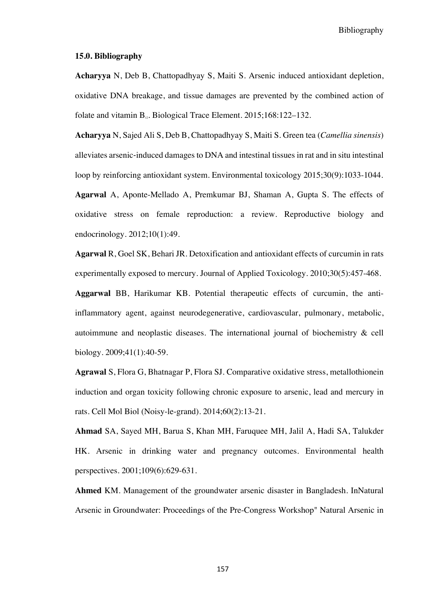Bibliography

## **15.0. Bibliography**

**Acharyya** N, Deb B, Chattopadhyay S, Maiti S. Arsenic induced antioxidant depletion, oxidative DNA breakage, and tissue damages are prevented by the combined action of folate and vitamin  $B_{12}$ . Biological Trace Element. 2015;168:122–132.

**Acharyya** N, Sajed Ali S, Deb B, Chattopadhyay S, Maiti S. Green tea (*Camellia sinensis*) alleviates arsenic-induced damages to DNA and intestinal tissues in rat and in situ intestinal loop by reinforcing antioxidant system. Environmental toxicology 2015;30(9):1033-1044.

**Agarwal** A, Aponte-Mellado A, Premkumar BJ, Shaman A, Gupta S. The effects of oxidative stress on female reproduction: a review. Reproductive biology and endocrinology. 2012;10(1):49.

**Agarwal** R, Goel SK, Behari JR. Detoxification and antioxidant effects of curcumin in rats experimentally exposed to mercury. Journal of Applied Toxicology. 2010;30(5):457-468.

**Aggarwal** BB, Harikumar KB. Potential therapeutic effects of curcumin, the antiinflammatory agent, against neurodegenerative, cardiovascular, pulmonary, metabolic, autoimmune and neoplastic diseases. The international journal of biochemistry & cell biology. 2009;41(1):40-59.

**Agrawal** S, Flora G, Bhatnagar P, Flora SJ. Comparative oxidative stress, metallothionein induction and organ toxicity following chronic exposure to arsenic, lead and mercury in rats. Cell Mol Biol (Noisy-le-grand). 2014;60(2):13-21.

**Ahmad** SA, Sayed MH, Barua S, Khan MH, Faruquee MH, Jalil A, Hadi SA, Talukder HK. Arsenic in drinking water and pregnancy outcomes. Environmental health perspectives. 2001;109(6):629-631.

**Ahmed** KM. Management of the groundwater arsenic disaster in Bangladesh. InNatural Arsenic in Groundwater: Proceedings of the Pre-Congress Workshop" Natural Arsenic in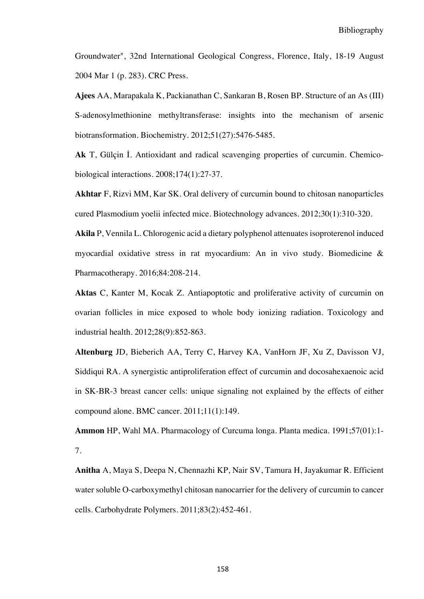Groundwater", 32nd International Geological Congress, Florence, Italy, 18-19 August 2004 Mar 1 (p. 283). CRC Press.

**Ajees** AA, Marapakala K, Packianathan C, Sankaran B, Rosen BP. Structure of an As (III) S-adenosylmethionine methyltransferase: insights into the mechanism of arsenic biotransformation. Biochemistry. 2012;51(27):5476-5485.

**Ak** T, Gülçin İ. Antioxidant and radical scavenging properties of curcumin. Chemicobiological interactions. 2008;174(1):27-37.

**Akhtar** F, Rizvi MM, Kar SK. Oral delivery of curcumin bound to chitosan nanoparticles cured Plasmodium yoelii infected mice. Biotechnology advances. 2012;30(1):310-320.

**Akila** P, Vennila L. Chlorogenic acid a dietary polyphenol attenuates isoproterenol induced myocardial oxidative stress in rat myocardium: An in vivo study. Biomedicine & Pharmacotherapy. 2016;84:208-214.

**Aktas** C, Kanter M, Kocak Z. Antiapoptotic and proliferative activity of curcumin on ovarian follicles in mice exposed to whole body ionizing radiation. Toxicology and industrial health. 2012;28(9):852-863.

**Altenburg** JD, Bieberich AA, Terry C, Harvey KA, VanHorn JF, Xu Z, Davisson VJ, Siddiqui RA. A synergistic antiproliferation effect of curcumin and docosahexaenoic acid in SK-BR-3 breast cancer cells: unique signaling not explained by the effects of either compound alone. BMC cancer. 2011;11(1):149.

**Ammon** HP, Wahl MA. Pharmacology of Curcuma longa. Planta medica. 1991;57(01):1- 7.

**Anitha** A, Maya S, Deepa N, Chennazhi KP, Nair SV, Tamura H, Jayakumar R. Efficient water soluble O-carboxymethyl chitosan nanocarrier for the delivery of curcumin to cancer cells. Carbohydrate Polymers. 2011;83(2):452-461.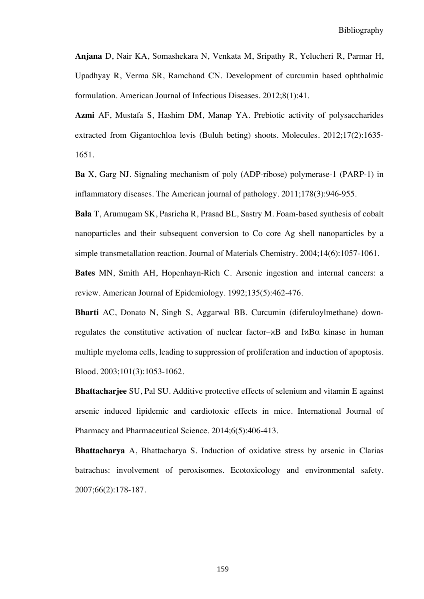**Anjana** D, Nair KA, Somashekara N, Venkata M, Sripathy R, Yelucheri R, Parmar H, Upadhyay R, Verma SR, Ramchand CN. Development of curcumin based ophthalmic formulation. American Journal of Infectious Diseases. 2012;8(1):41.

**Azmi** AF, Mustafa S, Hashim DM, Manap YA. Prebiotic activity of polysaccharides extracted from Gigantochloa levis (Buluh beting) shoots. Molecules. 2012;17(2):1635- 1651.

**Ba** X, Garg NJ. Signaling mechanism of poly (ADP-ribose) polymerase-1 (PARP-1) in inflammatory diseases. The American journal of pathology. 2011;178(3):946-955.

**Bala** T, Arumugam SK, Pasricha R, Prasad BL, Sastry M. Foam-based synthesis of cobalt nanoparticles and their subsequent conversion to Co core Ag shell nanoparticles by a simple transmetallation reaction. Journal of Materials Chemistry. 2004;14(6):1057-1061.

**Bates** MN, Smith AH, Hopenhayn-Rich C. Arsenic ingestion and internal cancers: a review. American Journal of Epidemiology. 1992;135(5):462-476.

**Bharti** AC, Donato N, Singh S, Aggarwal BB. Curcumin (diferuloylmethane) downregulates the constitutive activation of nuclear factor–κB and IκBα kinase in human multiple myeloma cells, leading to suppression of proliferation and induction of apoptosis. Blood. 2003;101(3):1053-1062.

**Bhattacharjee** SU, Pal SU. Additive protective effects of selenium and vitamin E against arsenic induced lipidemic and cardiotoxic effects in mice. International Journal of Pharmacy and Pharmaceutical Science. 2014;6(5):406-413.

**Bhattacharya** A, Bhattacharya S. Induction of oxidative stress by arsenic in Clarias batrachus: involvement of peroxisomes. Ecotoxicology and environmental safety. 2007;66(2):178-187.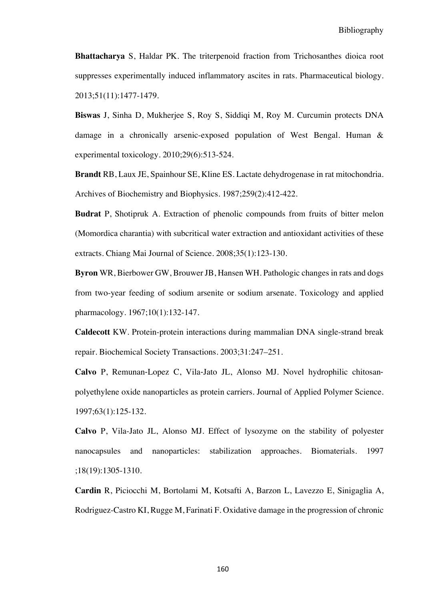**Bhattacharya** S, Haldar PK. The triterpenoid fraction from Trichosanthes dioica root suppresses experimentally induced inflammatory ascites in rats. Pharmaceutical biology. 2013;51(11):1477-1479.

**Biswas** J, Sinha D, Mukherjee S, Roy S, Siddiqi M, Roy M. Curcumin protects DNA damage in a chronically arsenic-exposed population of West Bengal. Human & experimental toxicology. 2010;29(6):513-524.

**Brandt** RB, Laux JE, Spainhour SE, Kline ES. Lactate dehydrogenase in rat mitochondria. Archives of Biochemistry and Biophysics. 1987;259(2):412-422.

**Budrat** P, Shotipruk A. Extraction of phenolic compounds from fruits of bitter melon (Momordica charantia) with subcritical water extraction and antioxidant activities of these extracts. Chiang Mai Journal of Science. 2008;35(1):123-130.

**Byron** WR, Bierbower GW, Brouwer JB, Hansen WH. Pathologic changes in rats and dogs from two-year feeding of sodium arsenite or sodium arsenate. Toxicology and applied pharmacology. 1967;10(1):132-147.

**Caldecott** KW. Protein-protein interactions during mammalian DNA single-strand break repair. Biochemical Society Transactions. 2003;31:247–251.

**Calvo** P, Remunan-Lopez C, Vila-Jato JL, Alonso MJ. Novel hydrophilic chitosanpolyethylene oxide nanoparticles as protein carriers. Journal of Applied Polymer Science. 1997;63(1):125-132.

**Calvo** P, Vila-Jato JL, Alonso MJ. Effect of lysozyme on the stability of polyester nanocapsules and nanoparticles: stabilization approaches. Biomaterials. 1997 ;18(19):1305-1310.

**Cardin** R, Piciocchi M, Bortolami M, Kotsafti A, Barzon L, Lavezzo E, Sinigaglia A, Rodriguez-Castro KI, Rugge M, Farinati F. Oxidative damage in the progression of chronic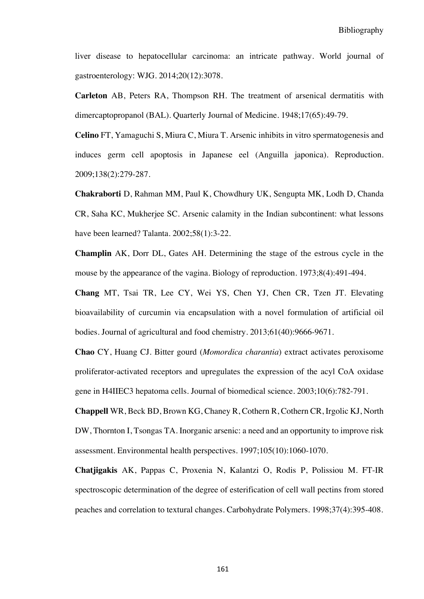liver disease to hepatocellular carcinoma: an intricate pathway. World journal of gastroenterology: WJG. 2014;20(12):3078.

**Carleton** AB, Peters RA, Thompson RH. The treatment of arsenical dermatitis with dimercaptopropanol (BAL). Quarterly Journal of Medicine. 1948;17(65):49-79.

**Celino** FT, Yamaguchi S, Miura C, Miura T. Arsenic inhibits in vitro spermatogenesis and induces germ cell apoptosis in Japanese eel (Anguilla japonica). Reproduction. 2009;138(2):279-287.

**Chakraborti** D, Rahman MM, Paul K, Chowdhury UK, Sengupta MK, Lodh D, Chanda CR, Saha KC, Mukherjee SC. Arsenic calamity in the Indian subcontinent: what lessons have been learned? Talanta. 2002;58(1):3-22.

**Champlin** AK, Dorr DL, Gates AH. Determining the stage of the estrous cycle in the mouse by the appearance of the vagina. Biology of reproduction. 1973;8(4):491-494.

**Chang** MT, Tsai TR, Lee CY, Wei YS, Chen YJ, Chen CR, Tzen JT. Elevating bioavailability of curcumin via encapsulation with a novel formulation of artificial oil bodies. Journal of agricultural and food chemistry. 2013;61(40):9666-9671.

**Chao** CY, Huang CJ. Bitter gourd (*Momordica charantia*) extract activates peroxisome proliferator-activated receptors and upregulates the expression of the acyl CoA oxidase gene in H4IIEC3 hepatoma cells. Journal of biomedical science. 2003;10(6):782-791.

**Chappell** WR, Beck BD, Brown KG, Chaney R, Cothern R, Cothern CR, Irgolic KJ, North DW, Thornton I, Tsongas TA. Inorganic arsenic: a need and an opportunity to improve risk assessment. Environmental health perspectives. 1997;105(10):1060-1070.

**Chatjigakis** AK, Pappas C, Proxenia N, Kalantzi O, Rodis P, Polissiou M. FT-IR spectroscopic determination of the degree of esterification of cell wall pectins from stored peaches and correlation to textural changes. Carbohydrate Polymers. 1998;37(4):395-408.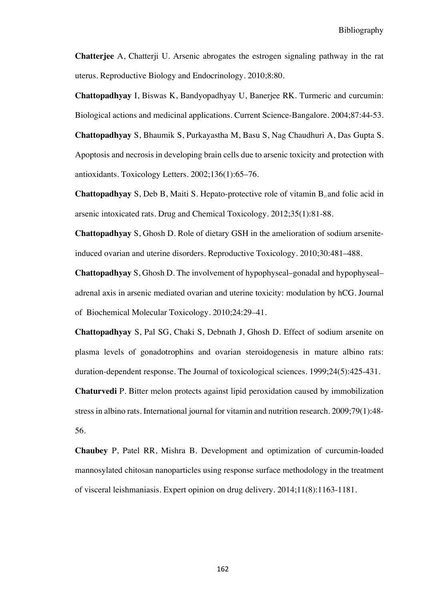**Chatterjee** A, Chatterji U. Arsenic abrogates the estrogen signaling pathway in the rat uterus. Reproductive Biology and Endocrinology. 2010;8:80.

**Chattopadhyay** I, Biswas K, Bandyopadhyay U, Banerjee RK. Turmeric and curcumin: Biological actions and medicinal applications. Current Science-Bangalore. 2004;87:44-53.

**Chattopadhyay** S, Bhaumik S, Purkayastha M, Basu S, Nag Chaudhuri A, Das Gupta S. Apoptosis and necrosis in developing brain cells due to arsenic toxicity and protection with antioxidants. Toxicology Letters. 2002;136(1):65–76.

**Chattopadhyay** S, Deb B, Maiti S. Hepato-protective role of vitamin  $B<sub>n</sub>$  and folic acid in arsenic intoxicated rats. Drug and Chemical Toxicology. 2012;35(1):81-88.

**Chattopadhyay** S, Ghosh D. Role of dietary GSH in the amelioration of sodium arseniteinduced ovarian and uterine disorders. Reproductive Toxicology. 2010;30:481–488.

**Chattopadhyay** S, Ghosh D. The involvement of hypophyseal–gonadal and hypophyseal– adrenal axis in arsenic mediated ovarian and uterine toxicity: modulation by hCG. Journal of Biochemical Molecular Toxicology. 2010;24:29–41.

**Chattopadhyay** S, Pal SG, Chaki S, Debnath J, Ghosh D. Effect of sodium arsenite on plasma levels of gonadotrophins and ovarian steroidogenesis in mature albino rats: duration-dependent response. The Journal of toxicological sciences. 1999;24(5):425-431.

**Chaturvedi** P. Bitter melon protects against lipid peroxidation caused by immobilization stress in albino rats. International journal for vitamin and nutrition research. 2009;79(1):48- 56.

**Chaubey** P, Patel RR, Mishra B. Development and optimization of curcumin-loaded mannosylated chitosan nanoparticles using response surface methodology in the treatment of visceral leishmaniasis. Expert opinion on drug delivery. 2014;11(8):1163-1181.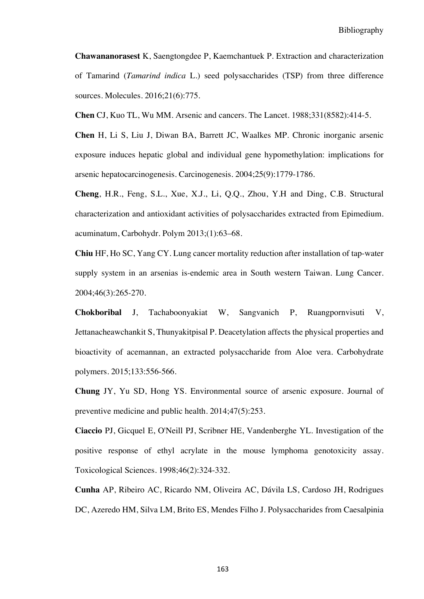**Chawananorasest** K, Saengtongdee P, Kaemchantuek P. Extraction and characterization of Tamarind (*Tamarind indica* L.) seed polysaccharides (TSP) from three difference sources. Molecules. 2016;21(6):775.

**Chen** CJ, Kuo TL, Wu MM. Arsenic and cancers. The Lancet. 1988;331(8582):414-5.

**Chen** H, Li S, Liu J, Diwan BA, Barrett JC, Waalkes MP. Chronic inorganic arsenic exposure induces hepatic global and individual gene hypomethylation: implications for arsenic hepatocarcinogenesis. Carcinogenesis. 2004;25(9):1779-1786.

**Cheng**, H.R., Feng, S.L., Xue, X.J., Li, Q.Q., Zhou, Y.H and Ding, C.B. Structural characterization and antioxidant activities of polysaccharides extracted from Epimedium. acuminatum, Carbohydr. Polym 2013;(1):63–68.

**Chiu** HF, Ho SC, Yang CY. Lung cancer mortality reduction after installation of tap-water supply system in an arsenias is-endemic area in South western Taiwan. Lung Cancer. 2004;46(3):265-270.

**Chokboribal** J, Tachaboonyakiat W, Sangvanich P, Ruangpornvisuti V, Jettanacheawchankit S, Thunyakitpisal P. Deacetylation affects the physical properties and bioactivity of acemannan, an extracted polysaccharide from Aloe vera. Carbohydrate polymers. 2015;133:556-566.

**Chung** JY, Yu SD, Hong YS. Environmental source of arsenic exposure. Journal of preventive medicine and public health. 2014;47(5):253.

**Ciaccio** PJ, Gicquel E, O'Neill PJ, Scribner HE, Vandenberghe YL. Investigation of the positive response of ethyl acrylate in the mouse lymphoma genotoxicity assay. Toxicological Sciences. 1998;46(2):324-332.

**Cunha** AP, Ribeiro AC, Ricardo NM, Oliveira AC, Dávila LS, Cardoso JH, Rodrigues DC, Azeredo HM, Silva LM, Brito ES, Mendes Filho J. Polysaccharides from Caesalpinia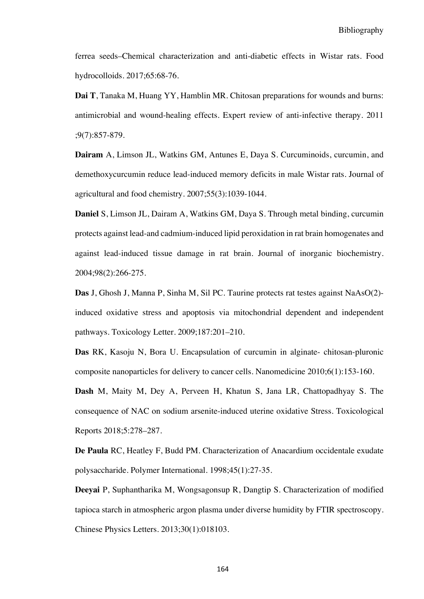ferrea seeds–Chemical characterization and anti-diabetic effects in Wistar rats. Food hydrocolloids. 2017;65:68-76.

**Dai T**, Tanaka M, Huang YY, Hamblin MR. Chitosan preparations for wounds and burns: antimicrobial and wound-healing effects. Expert review of anti-infective therapy. 2011 ;9(7):857-879.

**Dairam** A, Limson JL, Watkins GM, Antunes E, Daya S. Curcuminoids, curcumin, and demethoxycurcumin reduce lead-induced memory deficits in male Wistar rats. Journal of agricultural and food chemistry. 2007;55(3):1039-1044.

**Daniel** S, Limson JL, Dairam A, Watkins GM, Daya S. Through metal binding, curcumin protects against lead-and cadmium-induced lipid peroxidation in rat brain homogenates and against lead-induced tissue damage in rat brain. Journal of inorganic biochemistry. 2004;98(2):266-275.

**Das** J, Ghosh J, Manna P, Sinha M, Sil PC. Taurine protects rat testes against NaAsO(2) induced oxidative stress and apoptosis via mitochondrial dependent and independent pathways. Toxicology Letter. 2009;187:201–210.

**Das** RK, Kasoju N, Bora U. Encapsulation of curcumin in alginate- chitosan-pluronic composite nanoparticles for delivery to cancer cells. Nanomedicine 2010;6(1):153-160.

**Dash** M, Maity M, Dey A, Perveen H, Khatun S, Jana LR, Chattopadhyay S. The consequence of NAC on sodium arsenite-induced uterine oxidative Stress. Toxicological Reports 2018;5:278–287.

**De Paula** RC, Heatley F, Budd PM. Characterization of Anacardium occidentale exudate polysaccharide. Polymer International. 1998;45(1):27-35.

**Deeyai** P, Suphantharika M, Wongsagonsup R, Dangtip S. Characterization of modified tapioca starch in atmospheric argon plasma under diverse humidity by FTIR spectroscopy. Chinese Physics Letters. 2013;30(1):018103.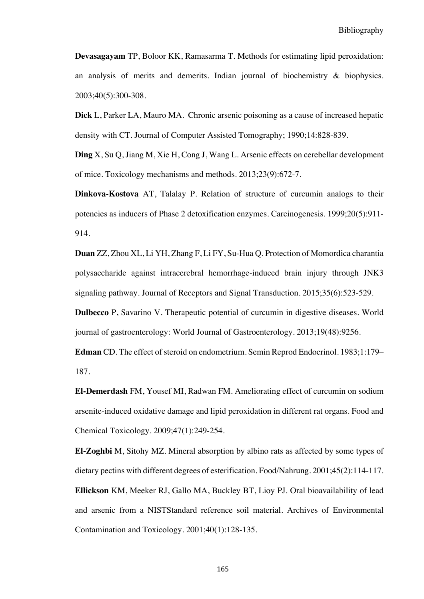**Devasagayam** TP, Boloor KK, Ramasarma T. Methods for estimating lipid peroxidation: an analysis of merits and demerits. Indian journal of biochemistry & biophysics. 2003;40(5):300-308.

**Dick** L, Parker LA, Mauro MA. Chronic arsenic poisoning as a cause of increased hepatic density with CT. Journal of Computer Assisted Tomography; 1990;14:828-839.

**Ding** X, Su Q, Jiang M, Xie H, Cong J, Wang L. Arsenic effects on cerebellar development of mice. Toxicology mechanisms and methods. 2013;23(9):672-7.

**Dinkova-Kostova** AT, Talalay P. Relation of structure of curcumin analogs to their potencies as inducers of Phase 2 detoxification enzymes. Carcinogenesis. 1999;20(5):911- 914.

**Duan** ZZ, Zhou XL, Li YH, Zhang F, Li FY, Su-Hua Q. Protection of Momordica charantia polysaccharide against intracerebral hemorrhage-induced brain injury through JNK3 signaling pathway. Journal of Receptors and Signal Transduction. 2015;35(6):523-529.

**Dulbecco** P, Savarino V. Therapeutic potential of curcumin in digestive diseases. World journal of gastroenterology: World Journal of Gastroenterology. 2013;19(48):9256.

**Edman** CD. The effect of steroid on endometrium. Semin Reprod Endocrinol. 1983;1:179– 187.

**El-Demerdash** FM, Yousef MI, Radwan FM. Ameliorating effect of curcumin on sodium arsenite-induced oxidative damage and lipid peroxidation in different rat organs. Food and Chemical Toxicology. 2009;47(1):249-254.

**El**-**Zoghbi** M, Sitohy MZ. Mineral absorption by albino rats as affected by some types of dietary pectins with different degrees of esterification. Food/Nahrung. 2001;45(2):114-117. **Ellickson** KM, Meeker RJ, Gallo MA, Buckley BT, Lioy PJ. Oral bioavailability of lead and arsenic from a NISTStandard reference soil material. Archives of Environmental Contamination and Toxicology. 2001;40(1):128-135.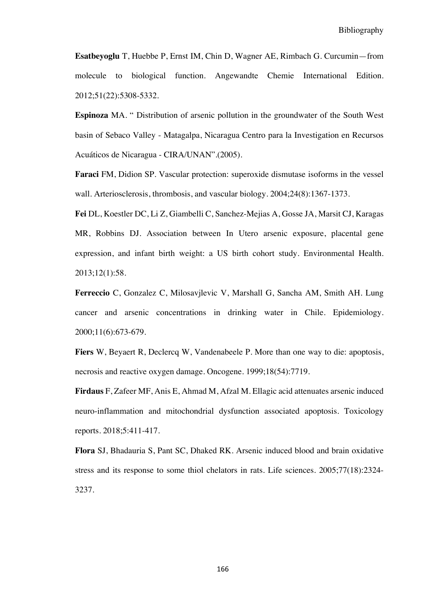**Esatbeyoglu** T, Huebbe P, Ernst IM, Chin D, Wagner AE, Rimbach G. Curcumin—from molecule to biological function. Angewandte Chemie International Edition. 2012;51(22):5308-5332.

**Espinoza** MA. " Distribution of arsenic pollution in the groundwater of the South West basin of Sebaco Valley - Matagalpa, Nicaragua Centro para la Investigation en Recursos Acuáticos de Nicaragua - CIRA/UNAN".(2005).

**Faraci** FM, Didion SP. Vascular protection: superoxide dismutase isoforms in the vessel wall. Arteriosclerosis, thrombosis, and vascular biology. 2004;24(8):1367-1373.

**Fei** DL, Koestler DC, Li Z, Giambelli C, Sanchez-Mejias A, Gosse JA, Marsit CJ, Karagas MR, Robbins DJ. Association between In Utero arsenic exposure, placental gene expression, and infant birth weight: a US birth cohort study. Environmental Health. 2013;12(1):58.

**Ferreccio** C, Gonzalez C, Milosavjlevic V, Marshall G, Sancha AM, Smith AH. Lung cancer and arsenic concentrations in drinking water in Chile. Epidemiology. 2000;11(6):673-679.

**Fiers** W, Beyaert R, Declercq W, Vandenabeele P. More than one way to die: apoptosis, necrosis and reactive oxygen damage. Oncogene. 1999;18(54):7719.

**Firdaus** F, Zafeer MF, Anis E, Ahmad M, Afzal M. Ellagic acid attenuates arsenic induced neuro-inflammation and mitochondrial dysfunction associated apoptosis. Toxicology reports. 2018;5:411-417.

**Flora** SJ, Bhadauria S, Pant SC, Dhaked RK. Arsenic induced blood and brain oxidative stress and its response to some thiol chelators in rats. Life sciences. 2005;77(18):2324- 3237.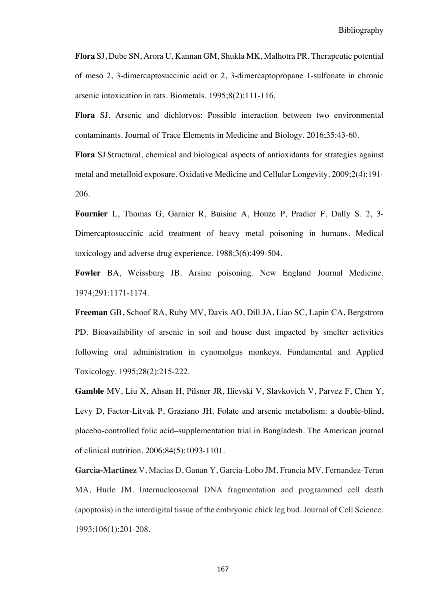**Flora** SJ, Dube SN, Arora U, Kannan GM, Shukla MK, Malhotra PR. Therapeutic potential of meso 2, 3-dimercaptosuccinic acid or 2, 3-dimercaptopropane 1-sulfonate in chronic arsenic intoxication in rats. Biometals. 1995;8(2):111-116.

**Flora** SJ. Arsenic and dichlorvos: Possible interaction between two environmental contaminants. Journal of Trace Elements in Medicine and Biology. 2016;35:43-60.

**Flora** SJ. Structural, chemical and biological aspects of antioxidants for strategies against metal and metalloid exposure. Oxidative Medicine and Cellular Longevity. 2009;2(4):191- 206.

**Fournier** L, Thomas G, Garnier R, Buisine A, Houze P, Pradier F, Dally S. 2, 3- Dimercaptosuccinic acid treatment of heavy metal poisoning in humans. Medical toxicology and adverse drug experience. 1988;3(6):499-504.

**Fowler** BA, Weissburg JB. Arsine poisoning. New England Journal Medicine. 1974;291:1171-1174.

**Freeman** GB, Schoof RA, Ruby MV, Davis AO, Dill JA, Liao SC, Lapin CA, Bergstrom PD. Bioavailability of arsenic in soil and house dust impacted by smelter activities following oral administration in cynomolgus monkeys. Fundamental and Applied Toxicology. 1995;28(2):215-222.

**Gamble** MV, Liu X, Ahsan H, Pilsner JR, Ilievski V, Slavkovich V, Parvez F, Chen Y, Levy D, Factor-Litvak P, Graziano JH. Folate and arsenic metabolism: a double-blind, placebo-controlled folic acid–supplementation trial in Bangladesh. The American journal of clinical nutrition. 2006;84(5):1093-1101.

**Garcia-Martinez** V, Macias D, Ganan Y, Garcia-Lobo JM, Francia MV, Fernandez-Teran MA, Hurle JM. Internucleosomal DNA fragmentation and programmed cell death (apoptosis) in the interdigital tissue of the embryonic chick leg bud. Journal of Cell Science. 1993;106(1):201-208.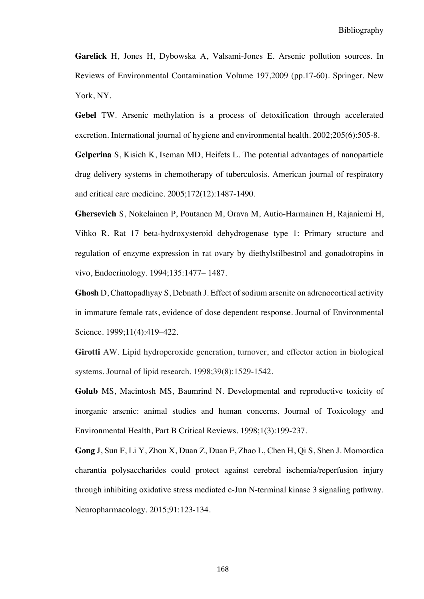**Garelick** H, Jones H, Dybowska A, Valsami-Jones E. Arsenic pollution sources. In Reviews of Environmental Contamination Volume 197,2009 (pp.17-60). Springer. New York, NY.

**Gebel** TW. Arsenic methylation is a process of detoxification through accelerated excretion. International journal of hygiene and environmental health. 2002;205(6):505-8.

**Gelperina** S, Kisich K, Iseman MD, Heifets L. The potential advantages of nanoparticle drug delivery systems in chemotherapy of tuberculosis. American journal of respiratory and critical care medicine. 2005;172(12):1487-1490.

**Ghersevich** S, Nokelainen P, Poutanen M, Orava M, Autio-Harmainen H, Rajaniemi H, Vihko R. Rat 17 beta-hydroxysteroid dehydrogenase type 1: Primary structure and regulation of enzyme expression in rat ovary by diethylstilbestrol and gonadotropins in vivo, Endocrinology. 1994;135:1477– 1487.

**Ghosh** D, Chattopadhyay S, Debnath J. Effect of sodium arsenite on adrenocortical activity in immature female rats, evidence of dose dependent response. Journal of Environmental Science. 1999;11(4):419–422.

**Girotti** AW. Lipid hydroperoxide generation, turnover, and effector action in biological systems. Journal of lipid research. 1998;39(8):1529-1542.

**Golub** MS, Macintosh MS, Baumrind N. Developmental and reproductive toxicity of inorganic arsenic: animal studies and human concerns. Journal of Toxicology and Environmental Health, Part B Critical Reviews. 1998;1(3):199-237.

**Gong** J, Sun F, Li Y, Zhou X, Duan Z, Duan F, Zhao L, Chen H, Qi S, Shen J. Momordica charantia polysaccharides could protect against cerebral ischemia/reperfusion injury through inhibiting oxidative stress mediated c-Jun N-terminal kinase 3 signaling pathway. Neuropharmacology. 2015;91:123-134.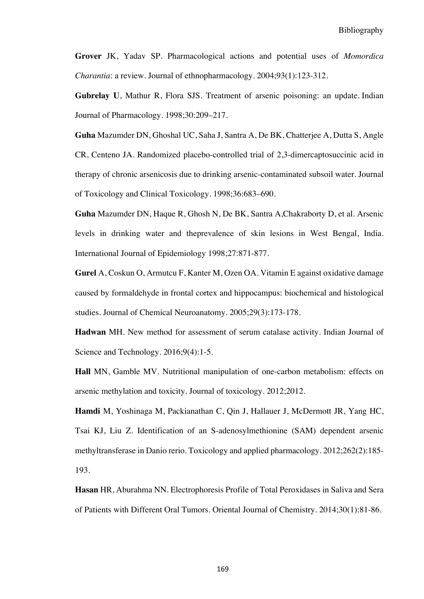**Grover** JK, Yadav SP. Pharmacological actions and potential uses of *Momordica Charantia*: a review. Journal of ethnopharmacology. 2004;93(1):123-312.

**Gubrelay U**, Mathur R, Flora SJS. Treatment of arsenic poisoning: an update. Indian Journal of Pharmacology. 1998;30:209–217.

**Guha** Mazumder DN, Ghoshal UC, Saha J, Santra A, De BK, Chatterjee A, Dutta S, Angle CR, Centeno JA. Randomized placebo-controlled trial of 2,3-dimercaptosuccinic acid in therapy of chronic arsenicosis due to drinking arsenic-contaminated subsoil water. Journal of Toxicology and Clinical Toxicology. 1998;36:683–690.

**Guha** Mazumder DN, Haque R, Ghosh N, De BK, Santra A,Chakraborty D, et al. Arsenic levels in drinking water and theprevalence of skin lesions in West Bengal, India. International Journal of Epidemiology 1998;27:871-877.

**Gurel** A, Coskun O, Armutcu F, Kanter M, Ozen OA. Vitamin E against oxidative damage caused by formaldehyde in frontal cortex and hippocampus: biochemical and histological studies. Journal of Chemical Neuroanatomy. 2005;29(3):173-178.

**Hadwan** MH. New method for assessment of serum catalase activity. Indian Journal of Science and Technology. 2016;9(4):1-5.

**Hall** MN, Gamble MV. Nutritional manipulation of one-carbon metabolism: effects on arsenic methylation and toxicity. Journal of toxicology. 2012;2012.

**Hamdi** M, Yoshinaga M, Packianathan C, Qin J, Hallauer J, McDermott JR, Yang HC, Tsai KJ, Liu Z. Identification of an S-adenosylmethionine (SAM) dependent arsenic methyltransferase in Danio rerio. Toxicology and applied pharmacology. 2012;262(2):185- 193.

**Hasan** HR, Aburahma NN. Electrophoresis Profile of Total Peroxidases in Saliva and Sera of Patients with Different Oral Tumors. Oriental Journal of Chemistry. 2014;30(1):81-86.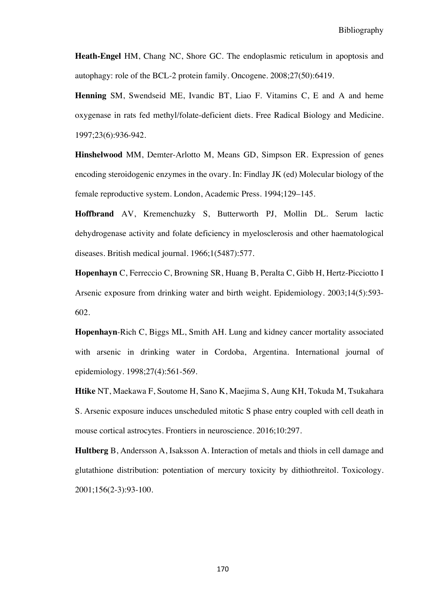**Heath-Engel** HM, Chang NC, Shore GC. The endoplasmic reticulum in apoptosis and autophagy: role of the BCL-2 protein family. Oncogene. 2008;27(50):6419.

**Henning** SM, Swendseid ME, Ivandic BT, Liao F. Vitamins C, E and A and heme oxygenase in rats fed methyl/folate-deficient diets. Free Radical Biology and Medicine. 1997;23(6):936-942.

**Hinshelwood** MM, Demter-Arlotto M, Means GD, Simpson ER. Expression of genes encoding steroidogenic enzymes in the ovary. In: Findlay JK (ed) Molecular biology of the female reproductive system. London, Academic Press. 1994;129–145.

**Hoffbrand** AV, Kremenchuzky S, Butterworth PJ, Mollin DL. Serum lactic dehydrogenase activity and folate deficiency in myelosclerosis and other haematological diseases. British medical journal. 1966;1(5487):577.

**Hopenhayn** C, Ferreccio C, Browning SR, Huang B, Peralta C, Gibb H, Hertz-Picciotto I Arsenic exposure from drinking water and birth weight. Epidemiology. 2003;14(5):593- 602.

**Hopenhayn**-Rich C, Biggs ML, Smith AH. Lung and kidney cancer mortality associated with arsenic in drinking water in Cordoba, Argentina. International journal of epidemiology. 1998;27(4):561-569.

**Htike** NT, Maekawa F, Soutome H, Sano K, Maejima S, Aung KH, Tokuda M, Tsukahara S. Arsenic exposure induces unscheduled mitotic S phase entry coupled with cell death in mouse cortical astrocytes. Frontiers in neuroscience. 2016;10:297.

**Hultberg** B, Andersson A, Isaksson A. Interaction of metals and thiols in cell damage and glutathione distribution: potentiation of mercury toxicity by dithiothreitol. Toxicology. 2001;156(2-3):93-100.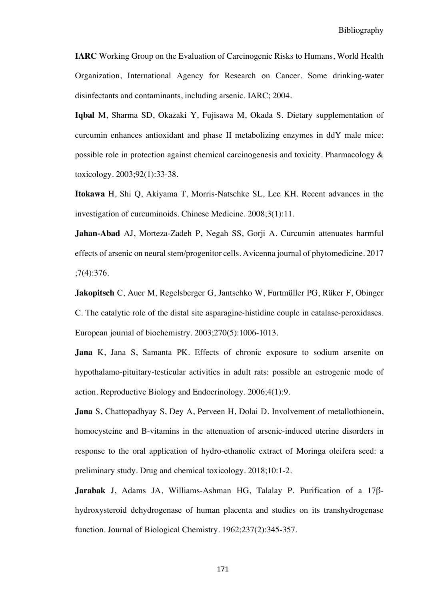**IARC** Working Group on the Evaluation of Carcinogenic Risks to Humans, World Health Organization, International Agency for Research on Cancer. Some drinking-water disinfectants and contaminants, including arsenic. IARC; 2004.

**Iqbal** M, Sharma SD, Okazaki Y, Fujisawa M, Okada S. Dietary supplementation of curcumin enhances antioxidant and phase II metabolizing enzymes in ddY male mice: possible role in protection against chemical carcinogenesis and toxicity. Pharmacology & toxicology. 2003;92(1):33-38.

**Itokawa** H, Shi Q, Akiyama T, Morris-Natschke SL, Lee KH. Recent advances in the investigation of curcuminoids. Chinese Medicine. 2008;3(1):11.

**Jahan-Abad** AJ, Morteza-Zadeh P, Negah SS, Gorji A. Curcumin attenuates harmful effects of arsenic on neural stem/progenitor cells. Avicenna journal of phytomedicine. 2017 ;7(4):376.

**Jakopitsch** C, Auer M, Regelsberger G, Jantschko W, Furtmüller PG, Rüker F, Obinger C. The catalytic role of the distal site asparagine-histidine couple in catalase-peroxidases. European journal of biochemistry. 2003;270(5):1006-1013.

**Jana** K, Jana S, Samanta PK. Effects of chronic exposure to sodium arsenite on hypothalamo-pituitary-testicular activities in adult rats: possible an estrogenic mode of action. Reproductive Biology and Endocrinology. 2006;4(1):9.

**Jana** S, Chattopadhyay S, Dey A, Perveen H, Dolai D. Involvement of metallothionein, homocysteine and B-vitamins in the attenuation of arsenic-induced uterine disorders in response to the oral application of hydro-ethanolic extract of Moringa oleifera seed: a preliminary study. Drug and chemical toxicology. 2018;10:1-2.

**Jarabak** J, Adams JA, Williams-Ashman HG, Talalay P. Purification of a 17βhydroxysteroid dehydrogenase of human placenta and studies on its transhydrogenase function. Journal of Biological Chemistry. 1962;237(2):345-357.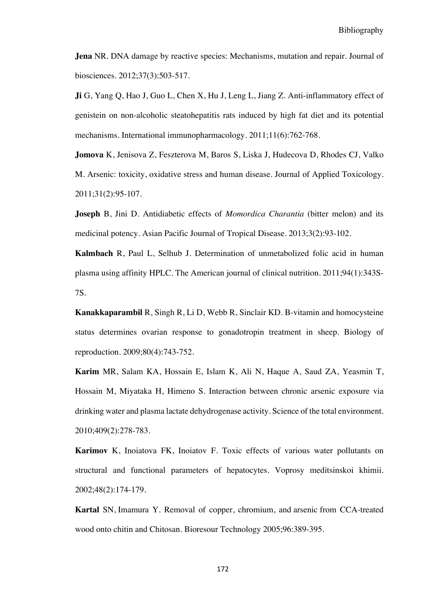**Jena** NR. DNA damage by reactive species: Mechanisms, mutation and repair. Journal of biosciences. 2012;37(3):503-517.

**Ji** G, Yang Q, Hao J, Guo L, Chen X, Hu J, Leng L, Jiang Z. Anti-inflammatory effect of genistein on non-alcoholic steatohepatitis rats induced by high fat diet and its potential mechanisms. International immunopharmacology. 2011;11(6):762-768.

**Jomova** K, Jenisova Z, Feszterova M, Baros S, Liska J, Hudecova D, Rhodes CJ, Valko M. Arsenic: toxicity, oxidative stress and human disease. Journal of Applied Toxicology. 2011;31(2):95-107.

**Joseph** B, Jini D. Antidiabetic effects of *Momordica Charantia* (bitter melon) and its medicinal potency. Asian Pacific Journal of Tropical Disease. 2013;3(2):93-102.

**Kalmbach** R, Paul L, Selhub J. Determination of unmetabolized folic acid in human plasma using affinity HPLC. The American journal of clinical nutrition. 2011;94(1):343S-7S.

**Kanakkaparambil** R, Singh R, Li D, Webb R, Sinclair KD. B-vitamin and homocysteine status determines ovarian response to gonadotropin treatment in sheep. Biology of reproduction. 2009;80(4):743-752.

**Karim** MR, Salam KA, Hossain E, Islam K, Ali N, Haque A, Saud ZA, Yeasmin T, Hossain M, Miyataka H, Himeno S. Interaction between chronic arsenic exposure via drinking water and plasma lactate dehydrogenase activity. Science of the total environment. 2010;409(2):278-783.

**Karimov** K, Inoiatova FK, Inoiatov F. Toxic effects of various water pollutants on structural and functional parameters of hepatocytes. Voprosy meditsinskoi khimii. 2002;48(2):174-179.

**Kartal** SN, Imamura Y. Removal of copper, chromium, and arsenic from CCA-treated wood onto chitin and Chitosan. Bioresour Technology 2005;96:389-395.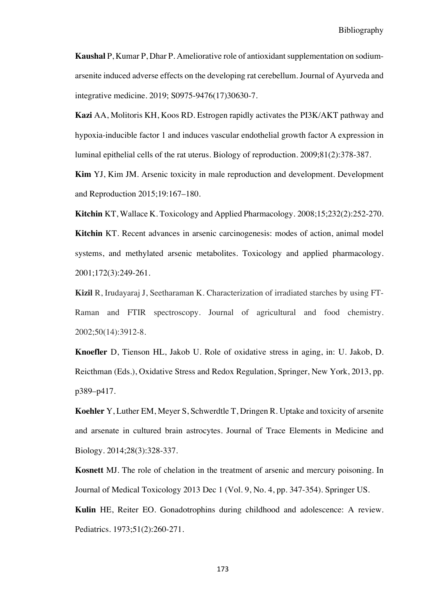**Kaushal** P, Kumar P, Dhar P. Ameliorative role of antioxidant supplementation on sodiumarsenite induced adverse effects on the developing rat cerebellum. Journal of Ayurveda and integrative medicine. 2019; S0975-9476(17)30630-7.

**Kazi** AA, Molitoris KH, Koos RD. Estrogen rapidly activates the PI3K/AKT pathway and hypoxia-inducible factor 1 and induces vascular endothelial growth factor A expression in luminal epithelial cells of the rat uterus. Biology of reproduction. 2009;81(2):378-387.

**Kim** YJ, Kim JM. Arsenic toxicity in male reproduction and development. Development and Reproduction 2015;19:167–180.

**Kitchin** KT, Wallace K. Toxicology and Applied Pharmacology. 2008;15;232(2):252-270.

**Kitchin** KT. Recent advances in arsenic carcinogenesis: modes of action, animal model systems, and methylated arsenic metabolites. Toxicology and applied pharmacology. 2001;172(3):249-261.

**Kizil** R, Irudayaraj J, Seetharaman K. Characterization of irradiated starches by using FT-Raman and FTIR spectroscopy. Journal of agricultural and food chemistry. 2002;50(14):3912-8.

**Knoefler** D, Tienson HL, Jakob U. Role of oxidative stress in aging, in: U. Jakob, D. Reicthman (Eds.), Oxidative Stress and Redox Regulation, Springer, New York, 2013, pp. p389–p417.

**Koehler** Y, Luther EM, Meyer S, Schwerdtle T, Dringen R. Uptake and toxicity of arsenite and arsenate in cultured brain astrocytes. Journal of Trace Elements in Medicine and Biology. 2014;28(3):328-337.

**Kosnett** MJ. The role of chelation in the treatment of arsenic and mercury poisoning. In Journal of Medical Toxicology 2013 Dec 1 (Vol. 9, No. 4, pp. 347-354). Springer US.

**Kulin** HE, Reiter EO. Gonadotrophins during childhood and adolescence: A review. Pediatrics. 1973;51(2):260-271.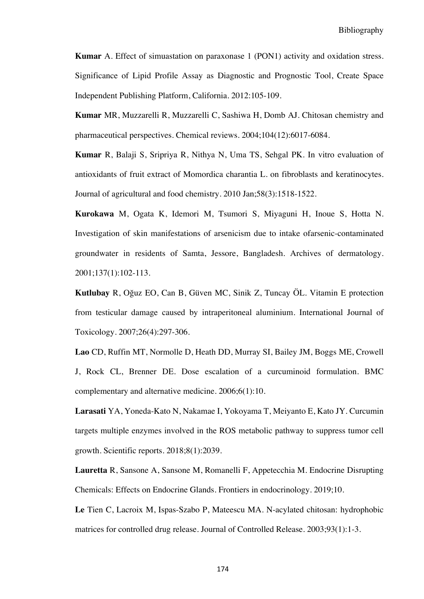**Kumar** A. Effect of simuastation on paraxonase 1 (PON1) activity and oxidation stress. Significance of Lipid Profile Assay as Diagnostic and Prognostic Tool, Create Space Independent Publishing Platform, California. 2012:105-109.

**Kumar** MR, Muzzarelli R, Muzzarelli C, Sashiwa H, Domb AJ. Chitosan chemistry and pharmaceutical perspectives. Chemical reviews. 2004;104(12):6017-6084.

**Kumar** R, Balaji S, Sripriya R, Nithya N, Uma TS, Sehgal PK. In vitro evaluation of antioxidants of fruit extract of Momordica charantia L. on fibroblasts and keratinocytes. Journal of agricultural and food chemistry. 2010 Jan;58(3):1518-1522.

**Kurokawa** M, Ogata K, Idemori M, Tsumori S, Miyaguni H, Inoue S, Hotta N. Investigation of skin manifestations of arsenicism due to intake ofarsenic-contaminated groundwater in residents of Samta, Jessore, Bangladesh. Archives of dermatology. 2001;137(1):102-113.

**Kutlubay** R, Oğuz EO, Can B, Güven MC, Sinik Z, Tuncay ÖL. Vitamin E protection from testicular damage caused by intraperitoneal aluminium. International Journal of Toxicology. 2007;26(4):297-306.

**Lao** CD, Ruffin MT, Normolle D, Heath DD, Murray SI, Bailey JM, Boggs ME, Crowell J, Rock CL, Brenner DE. Dose escalation of a curcuminoid formulation. BMC complementary and alternative medicine. 2006;6(1):10.

**Larasati** YA, Yoneda-Kato N, Nakamae I, Yokoyama T, Meiyanto E, Kato JY. Curcumin targets multiple enzymes involved in the ROS metabolic pathway to suppress tumor cell growth. Scientific reports. 2018;8(1):2039.

**Lauretta** R, Sansone A, Sansone M, Romanelli F, Appetecchia M. Endocrine Disrupting Chemicals: Effects on Endocrine Glands. Frontiers in endocrinology. 2019;10.

**Le** Tien C, Lacroix M, Ispas-Szabo P, Mateescu MA. N-acylated chitosan: hydrophobic matrices for controlled drug release. Journal of Controlled Release. 2003;93(1):1-3.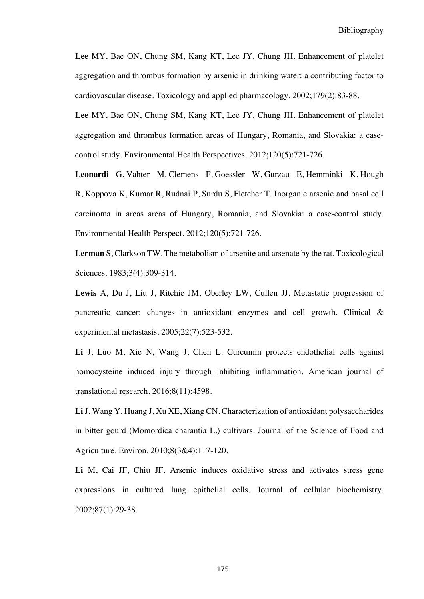**Lee** MY, Bae ON, Chung SM, Kang KT, Lee JY, Chung JH. Enhancement of platelet aggregation and thrombus formation by arsenic in drinking water: a contributing factor to cardiovascular disease. Toxicology and applied pharmacology. 2002;179(2):83-88.

**Lee** MY, Bae ON, Chung SM, Kang KT, Lee JY, Chung JH. Enhancement of platelet aggregation and thrombus formation areas of Hungary, Romania, and Slovakia: a casecontrol study. Environmental Health Perspectives. 2012;120(5):721-726.

**Leonardi** G, Vahter M, Clemens F, Goessler W, Gurzau E, Hemminki K, Hough R, Koppova K, Kumar R, Rudnai P, Surdu S, Fletcher T. Inorganic arsenic and basal cell carcinoma in areas areas of Hungary, Romania, and Slovakia: a case-control study. Environmental Health Perspect. 2012;120(5):721-726.

**Lerman** S, Clarkson TW. The metabolism of arsenite and arsenate by the rat. Toxicological Sciences. 1983;3(4):309-314.

**Lewis** A, Du J, Liu J, Ritchie JM, Oberley LW, Cullen JJ. Metastatic progression of pancreatic cancer: changes in antioxidant enzymes and cell growth. Clinical & experimental metastasis. 2005;22(7):523-532.

**Li** J, Luo M, Xie N, Wang J, Chen L. Curcumin protects endothelial cells against homocysteine induced injury through inhibiting inflammation. American journal of translational research. 2016;8(11):4598.

**Li** J, Wang Y, Huang J, Xu XE, Xiang CN. Characterization of antioxidant polysaccharides in bitter gourd (Momordica charantia L.) cultivars. Journal of the Science of Food and Agriculture. Environ. 2010;8(3&4):117-120.

**Li** M, Cai JF, Chiu JF. Arsenic induces oxidative stress and activates stress gene expressions in cultured lung epithelial cells. Journal of cellular biochemistry. 2002;87(1):29-38.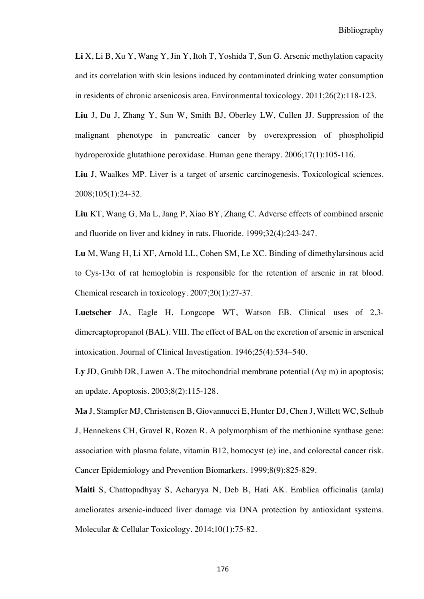**Li** X, Li B, Xu Y, Wang Y, Jin Y, Itoh T, Yoshida T, Sun G. Arsenic methylation capacity and its correlation with skin lesions induced by contaminated drinking water consumption in residents of chronic arsenicosis area. Environmental toxicology. 2011;26(2):118-123.

**Liu** J, Du J, Zhang Y, Sun W, Smith BJ, Oberley LW, Cullen JJ. Suppression of the malignant phenotype in pancreatic cancer by overexpression of phospholipid hydroperoxide glutathione peroxidase. Human gene therapy. 2006;17(1):105-116.

**Liu** J, Waalkes MP. Liver is a target of arsenic carcinogenesis. Toxicological sciences. 2008;105(1):24-32.

**Liu** KT, Wang G, Ma L, Jang P, Xiao BY, Zhang C. Adverse effects of combined arsenic and fluoride on liver and kidney in rats. Fluoride. 1999;32(4):243-247.

**Lu** M, Wang H, Li XF, Arnold LL, Cohen SM, Le XC. Binding of dimethylarsinous acid to Cys-13α of rat hemoglobin is responsible for the retention of arsenic in rat blood. Chemical research in toxicology. 2007;20(1):27-37.

**Luetscher** JA, Eagle H, Longcope WT, Watson EB. Clinical uses of 2,3 dimercaptopropanol (BAL). VIII. The effect of BAL on the excretion of arsenic in arsenical intoxication. Journal of Clinical Investigation. 1946;25(4):534–540.

**Ly** JD, Grubb DR, Lawen A. The mitochondrial membrane potential  $(\Delta \psi \text{ m})$  in apoptosis; an update. Apoptosis. 2003;8(2):115-128.

**Ma** J, Stampfer MJ, Christensen B, Giovannucci E, Hunter DJ, Chen J, Willett WC, Selhub J, Hennekens CH, Gravel R, Rozen R. A polymorphism of the methionine synthase gene: association with plasma folate, vitamin B12, homocyst (e) ine, and colorectal cancer risk. Cancer Epidemiology and Prevention Biomarkers. 1999;8(9):825-829.

**Maiti** S, Chattopadhyay S, Acharyya N, Deb B, Hati AK. Emblica officinalis (amla) ameliorates arsenic-induced liver damage via DNA protection by antioxidant systems. Molecular & Cellular Toxicology. 2014;10(1):75-82.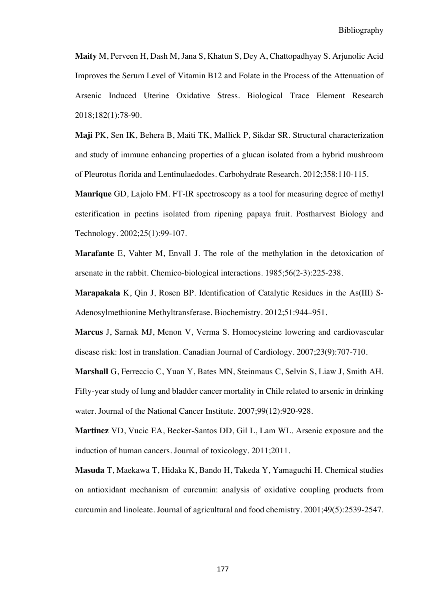**Maity** M, Perveen H, Dash M, Jana S, Khatun S, Dey A, Chattopadhyay S. Arjunolic Acid Improves the Serum Level of Vitamin B12 and Folate in the Process of the Attenuation of Arsenic Induced Uterine Oxidative Stress. Biological Trace Element Research 2018;182(1):78-90.

**Maji** PK, Sen IK, Behera B, Maiti TK, Mallick P, Sikdar SR. Structural characterization and study of immune enhancing properties of a glucan isolated from a hybrid mushroom of Pleurotus florida and Lentinulaedodes. Carbohydrate Research. 2012;358:110-115.

**Manrique** GD, Lajolo FM. FT-IR spectroscopy as a tool for measuring degree of methyl esterification in pectins isolated from ripening papaya fruit. Postharvest Biology and Technology. 2002;25(1):99-107.

**Marafante** E, Vahter M, Envall J. The role of the methylation in the detoxication of arsenate in the rabbit. Chemico-biological interactions. 1985;56(2-3):225-238.

**Marapakala** K, Qin J, Rosen BP. Identification of Catalytic Residues in the As(III) S-Adenosylmethionine Methyltransferase. Biochemistry. 2012;51:944–951.

**Marcus** J, Sarnak MJ, Menon V, Verma S. Homocysteine lowering and cardiovascular disease risk: lost in translation. Canadian Journal of Cardiology. 2007;23(9):707-710.

**Marshall** G, Ferreccio C, Yuan Y, Bates MN, Steinmaus C, Selvin S, Liaw J, Smith AH. Fifty-year study of lung and bladder cancer mortality in Chile related to arsenic in drinking water. Journal of the National Cancer Institute. 2007;99(12):920-928.

**Martinez** VD, Vucic EA, Becker-Santos DD, Gil L, Lam WL. Arsenic exposure and the induction of human cancers. Journal of toxicology. 2011;2011.

**Masuda** T, Maekawa T, Hidaka K, Bando H, Takeda Y, Yamaguchi H. Chemical studies on antioxidant mechanism of curcumin: analysis of oxidative coupling products from curcumin and linoleate. Journal of agricultural and food chemistry. 2001;49(5):2539-2547.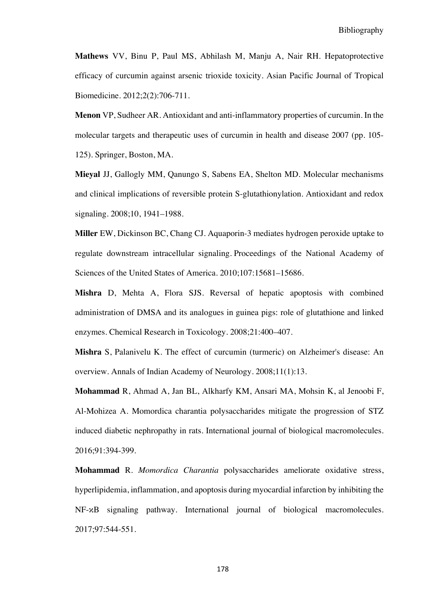**Mathews** VV, Binu P, Paul MS, Abhilash M, Manju A, Nair RH. Hepatoprotective efficacy of curcumin against arsenic trioxide toxicity. Asian Pacific Journal of Tropical Biomedicine. 2012;2(2):706-711.

**Menon** VP, Sudheer AR. Antioxidant and anti-inflammatory properties of curcumin. In the molecular targets and therapeutic uses of curcumin in health and disease 2007 (pp. 105- 125). Springer, Boston, MA.

**Mieyal** JJ, Gallogly MM, Qanungo S, Sabens EA, Shelton MD. Molecular mechanisms and clinical implications of reversible protein S-glutathionylation. Antioxidant and redox signaling. 2008;10, 1941–1988.

**Miller** EW, Dickinson BC, Chang CJ. Aquaporin-3 mediates hydrogen peroxide uptake to regulate downstream intracellular signaling. Proceedings of the National Academy of Sciences of the United States of America. 2010;107:15681–15686.

**Mishra** D, Mehta A, Flora SJS. Reversal of hepatic apoptosis with combined administration of DMSA and its analogues in guinea pigs: role of glutathione and linked enzymes. Chemical Research in Toxicology. 2008;21:400–407.

**Mishra** S, Palanivelu K. The effect of curcumin (turmeric) on Alzheimer's disease: An overview. Annals of Indian Academy of Neurology. 2008;11(1):13.

**Mohammad** R, Ahmad A, Jan BL, Alkharfy KM, Ansari MA, Mohsin K, al Jenoobi F, Al-Mohizea A. Momordica charantia polysaccharides mitigate the progression of STZ induced diabetic nephropathy in rats. International journal of biological macromolecules. 2016;91:394-399.

**Mohammad** R. *Momordica Charantia* polysaccharides ameliorate oxidative stress, hyperlipidemia, inflammation, and apoptosis during myocardial infarction by inhibiting the NF-κB signaling pathway. International journal of biological macromolecules. 2017;97:544-551.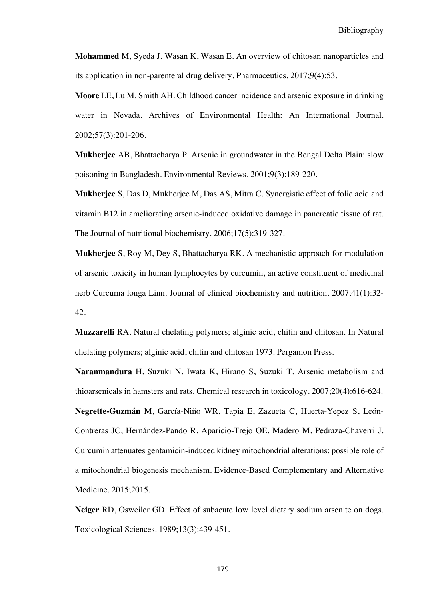**Mohammed** M, Syeda J, Wasan K, Wasan E. An overview of chitosan nanoparticles and its application in non-parenteral drug delivery. Pharmaceutics. 2017;9(4):53.

**Moore** LE, Lu M, Smith AH. Childhood cancer incidence and arsenic exposure in drinking water in Nevada. Archives of Environmental Health: An International Journal. 2002;57(3):201-206.

**Mukherjee** AB, Bhattacharya P. Arsenic in groundwater in the Bengal Delta Plain: slow poisoning in Bangladesh. Environmental Reviews. 2001;9(3):189-220.

**Mukherjee** S, Das D, Mukherjee M, Das AS, Mitra C. Synergistic effect of folic acid and vitamin B12 in ameliorating arsenic-induced oxidative damage in pancreatic tissue of rat. The Journal of nutritional biochemistry. 2006;17(5):319-327.

**Mukherjee** S, Roy M, Dey S, Bhattacharya RK. A mechanistic approach for modulation of arsenic toxicity in human lymphocytes by curcumin, an active constituent of medicinal herb Curcuma longa Linn. Journal of clinical biochemistry and nutrition. 2007;41(1):32-42.

**Muzzarelli** RA. Natural chelating polymers; alginic acid, chitin and chitosan. In Natural chelating polymers; alginic acid, chitin and chitosan 1973. Pergamon Press.

**Naranmandura** H, Suzuki N, Iwata K, Hirano S, Suzuki T. Arsenic metabolism and thioarsenicals in hamsters and rats. Chemical research in toxicology. 2007;20(4):616-624. **Negrette-Guzmán** M, García-Niño WR, Tapia E, Zazueta C, Huerta-Yepez S, León-Contreras JC, Hernández-Pando R, Aparicio-Trejo OE, Madero M, Pedraza-Chaverri J. Curcumin attenuates gentamicin-induced kidney mitochondrial alterations: possible role of a mitochondrial biogenesis mechanism. Evidence-Based Complementary and Alternative Medicine. 2015;2015.

**Neiger** RD, Osweiler GD. Effect of subacute low level dietary sodium arsenite on dogs. Toxicological Sciences. 1989;13(3):439-451.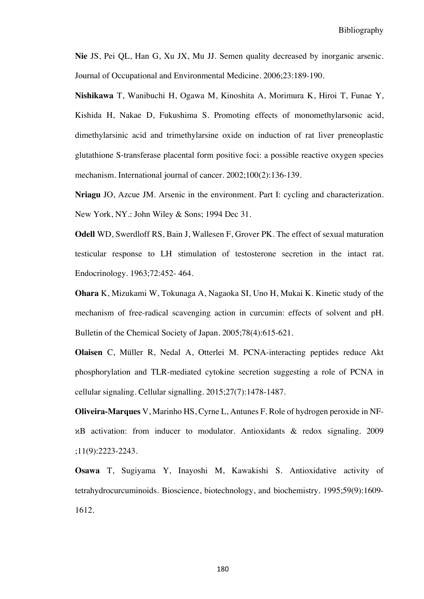**Nie** JS, Pei QL, Han G, Xu JX, Mu JJ. Semen quality decreased by inorganic arsenic. Journal of Occupational and Environmental Medicine. 2006;23:189-190.

**Nishikawa** T, Wanibuchi H, Ogawa M, Kinoshita A, Morimura K, Hiroi T, Funae Y, Kishida H, Nakae D, Fukushima S. Promoting effects of monomethylarsonic acid, dimethylarsinic acid and trimethylarsine oxide on induction of rat liver preneoplastic glutathione S-transferase placental form positive foci: a possible reactive oxygen species mechanism. International journal of cancer. 2002;100(2):136-139.

**Nriagu** JO, Azcue JM. Arsenic in the environment. Part I: cycling and characterization. New York, NY.: John Wiley & Sons; 1994 Dec 31.

**Odell** WD, Swerdloff RS, Bain J, Wallesen F, Grover PK. The effect of sexual maturation testicular response to LH stimulation of testosterone secretion in the intact rat. Endocrinology. 1963;72:452- 464.

**Ohara** K, Mizukami W, Tokunaga A, Nagaoka SI, Uno H, Mukai K. Kinetic study of the mechanism of free-radical scavenging action in curcumin: effects of solvent and pH. Bulletin of the Chemical Society of Japan. 2005;78(4):615-621.

**Olaisen** C, Müller R, Nedal A, Otterlei M. PCNA-interacting peptides reduce Akt phosphorylation and TLR-mediated cytokine secretion suggesting a role of PCNA in cellular signaling. Cellular signalling. 2015;27(7):1478-1487.

**Oliveira-Marques** V, Marinho HS, Cyrne L, Antunes F. Role of hydrogen peroxide in NFκB activation: from inducer to modulator. Antioxidants & redox signaling. 2009 ;11(9):2223-2243.

**Osawa** T, Sugiyama Y, Inayoshi M, Kawakishi S. Antioxidative activity of tetrahydrocurcuminoids. Bioscience, biotechnology, and biochemistry. 1995;59(9):1609- 1612.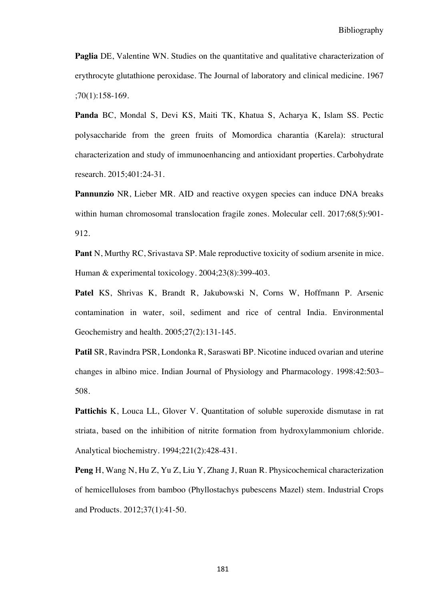**Paglia** DE, Valentine WN. Studies on the quantitative and qualitative characterization of erythrocyte glutathione peroxidase. The Journal of laboratory and clinical medicine. 1967 ;70(1):158-169.

**Panda** BC, Mondal S, Devi KS, Maiti TK, Khatua S, Acharya K, Islam SS. Pectic polysaccharide from the green fruits of Momordica charantia (Karela): structural characterization and study of immunoenhancing and antioxidant properties. Carbohydrate research. 2015;401:24-31.

**Pannunzio** NR, Lieber MR. AID and reactive oxygen species can induce DNA breaks within human chromosomal translocation fragile zones. Molecular cell. 2017;68(5):901- 912.

**Pant** N, Murthy RC, Srivastava SP. Male reproductive toxicity of sodium arsenite in mice. Human & experimental toxicology. 2004;23(8):399-403.

**Patel** KS, Shrivas K, Brandt R, Jakubowski N, Corns W, Hoffmann P. Arsenic contamination in water, soil, sediment and rice of central India. Environmental Geochemistry and health. 2005;27(2):131-145.

**Patil** SR, Ravindra PSR, Londonka R, Saraswati BP. Nicotine induced ovarian and uterine changes in albino mice. Indian Journal of Physiology and Pharmacology. 1998:42:503– 508.

**Pattichis** K, Louca LL, Glover V. Quantitation of soluble superoxide dismutase in rat striata, based on the inhibition of nitrite formation from hydroxylammonium chloride. Analytical biochemistry. 1994;221(2):428-431.

**Peng** H, Wang N, Hu Z, Yu Z, Liu Y, Zhang J, Ruan R. Physicochemical characterization of hemicelluloses from bamboo (Phyllostachys pubescens Mazel) stem. Industrial Crops and Products. 2012;37(1):41-50.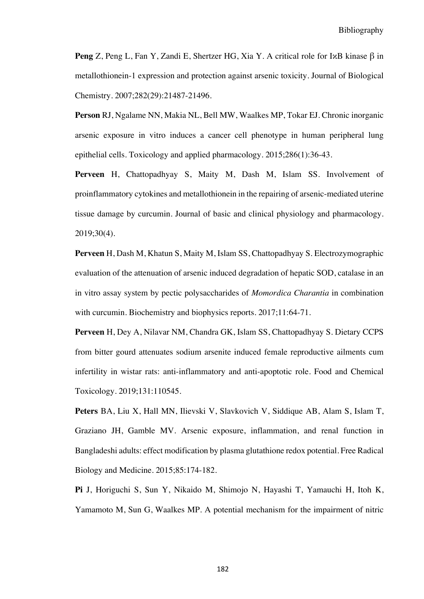**Peng** Z, Peng L, Fan Y, Zandi E, Shertzer HG, Xia Y. A critical role for IκB kinase β in metallothionein-1 expression and protection against arsenic toxicity. Journal of Biological Chemistry. 2007;282(29):21487-21496.

**Person** RJ, Ngalame NN, Makia NL, Bell MW, Waalkes MP, Tokar EJ. Chronic inorganic arsenic exposure in vitro induces a cancer cell phenotype in human peripheral lung epithelial cells. Toxicology and applied pharmacology. 2015;286(1):36-43.

**Perveen** H, Chattopadhyay S, Maity M, Dash M, Islam SS. Involvement of proinflammatory cytokines and metallothionein in the repairing of arsenic-mediated uterine tissue damage by curcumin. Journal of basic and clinical physiology and pharmacology. 2019;30(4).

**Perveen** H, Dash M, Khatun S, Maity M, Islam SS, Chattopadhyay S. Electrozymographic evaluation of the attenuation of arsenic induced degradation of hepatic SOD, catalase in an in vitro assay system by pectic polysaccharides of *Momordica Charantia* in combination with curcumin. Biochemistry and biophysics reports. 2017;11:64-71.

**Perveen** H, Dey A, Nilavar NM, Chandra GK, Islam SS, Chattopadhyay S. Dietary CCPS from bitter gourd attenuates sodium arsenite induced female reproductive ailments cum infertility in wistar rats: anti-inflammatory and anti-apoptotic role. Food and Chemical Toxicology. 2019;131:110545.

**Peters** BA, Liu X, Hall MN, Ilievski V, Slavkovich V, Siddique AB, Alam S, Islam T, Graziano JH, Gamble MV. Arsenic exposure, inflammation, and renal function in Bangladeshi adults: effect modification by plasma glutathione redox potential. Free Radical Biology and Medicine. 2015;85:174-182.

**Pi** J, Horiguchi S, Sun Y, Nikaido M, Shimojo N, Hayashi T, Yamauchi H, Itoh K, Yamamoto M, Sun G, Waalkes MP. A potential mechanism for the impairment of nitric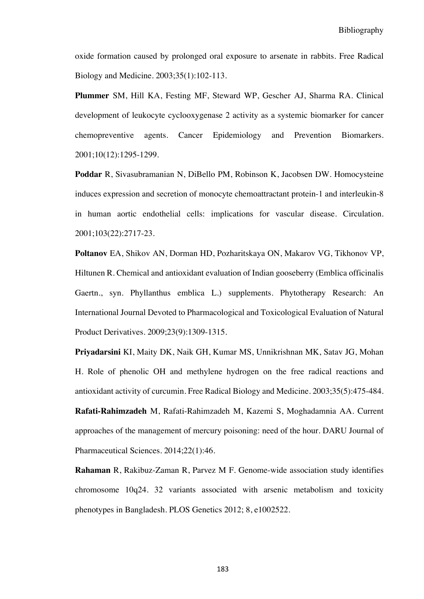oxide formation caused by prolonged oral exposure to arsenate in rabbits. Free Radical Biology and Medicine. 2003;35(1):102-113.

**Plummer** SM, Hill KA, Festing MF, Steward WP, Gescher AJ, Sharma RA. Clinical development of leukocyte cyclooxygenase 2 activity as a systemic biomarker for cancer chemopreventive agents. Cancer Epidemiology and Prevention Biomarkers. 2001;10(12):1295-1299.

**Poddar** R, Sivasubramanian N, DiBello PM, Robinson K, Jacobsen DW. Homocysteine induces expression and secretion of monocyte chemoattractant protein-1 and interleukin-8 in human aortic endothelial cells: implications for vascular disease. Circulation. 2001;103(22):2717-23.

**Poltanov** EA, Shikov AN, Dorman HD, Pozharitskaya ON, Makarov VG, Tikhonov VP, Hiltunen R. Chemical and antioxidant evaluation of Indian gooseberry (Emblica officinalis Gaertn., syn. Phyllanthus emblica L.) supplements. Phytotherapy Research: An International Journal Devoted to Pharmacological and Toxicological Evaluation of Natural Product Derivatives. 2009;23(9):1309-1315.

**Priyadarsini** KI, Maity DK, Naik GH, Kumar MS, Unnikrishnan MK, Satav JG, Mohan H. Role of phenolic OH and methylene hydrogen on the free radical reactions and antioxidant activity of curcumin. Free Radical Biology and Medicine. 2003;35(5):475-484. **Rafati-Rahimzadeh** M, Rafati-Rahimzadeh M, Kazemi S, Moghadamnia AA. Current approaches of the management of mercury poisoning: need of the hour. DARU Journal of Pharmaceutical Sciences. 2014;22(1):46.

**Rahaman** R, Rakibuz-Zaman R, Parvez M F. Genome-wide association study identifies chromosome 10q24. 32 variants associated with arsenic metabolism and toxicity phenotypes in Bangladesh. PLOS Genetics 2012; 8, e1002522.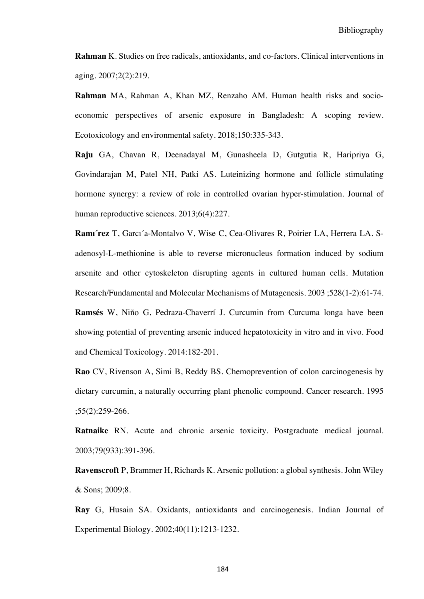**Rahman** K. Studies on free radicals, antioxidants, and co-factors. Clinical interventions in aging. 2007;2(2):219.

**Rahman** MA, Rahman A, Khan MZ, Renzaho AM. Human health risks and socioeconomic perspectives of arsenic exposure in Bangladesh: A scoping review. Ecotoxicology and environmental safety. 2018;150:335-343.

**Raju** GA, Chavan R, Deenadayal M, Gunasheela D, Gutgutia R, Haripriya G, Govindarajan M, Patel NH, Patki AS. Luteinizing hormone and follicle stimulating hormone synergy: a review of role in controlled ovarian hyper-stimulation. Journal of human reproductive sciences. 2013;6(4):227.

**Ramı́rez** T, Garcı́a-Montalvo V, Wise C, Cea-Olivares R, Poirier LA, Herrera LA. Sadenosyl-L-methionine is able to reverse micronucleus formation induced by sodium arsenite and other cytoskeleton disrupting agents in cultured human cells. Mutation Research/Fundamental and Molecular Mechanisms of Mutagenesis. 2003 ;528(1-2):61-74. **Ramsés** W, Niño G, Pedraza-Chaverrí J. Curcumin from Curcuma longa have been showing potential of preventing arsenic induced hepatotoxicity in vitro and in vivo. Food and Chemical Toxicology. 2014:182-201.

**Rao** CV, Rivenson A, Simi B, Reddy BS. Chemoprevention of colon carcinogenesis by dietary curcumin, a naturally occurring plant phenolic compound. Cancer research. 1995 ;55(2):259-266.

**Ratnaike** RN. Acute and chronic arsenic toxicity. Postgraduate medical journal. 2003;79(933):391-396.

**Ravenscroft** P, Brammer H, Richards K. Arsenic pollution: a global synthesis. John Wiley & Sons; 2009;8.

**Ray** G, Husain SA. Oxidants, antioxidants and carcinogenesis. Indian Journal of Experimental Biology. 2002;40(11):1213-1232.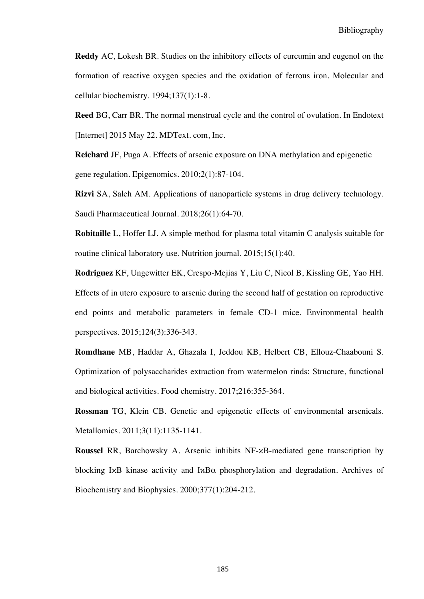**Reddy** AC, Lokesh BR. Studies on the inhibitory effects of curcumin and eugenol on the formation of reactive oxygen species and the oxidation of ferrous iron. Molecular and cellular biochemistry. 1994;137(1):1-8.

**Reed** BG, Carr BR. The normal menstrual cycle and the control of ovulation. In Endotext [Internet] 2015 May 22. MDText. com, Inc.

**Reichard** JF, Puga A. Effects of arsenic exposure on DNA methylation and epigenetic gene regulation. Epigenomics. 2010;2(1):87-104.

**Rizvi** SA, Saleh AM. Applications of nanoparticle systems in drug delivery technology. Saudi Pharmaceutical Journal. 2018;26(1):64-70.

**Robitaille** L, Hoffer LJ. A simple method for plasma total vitamin C analysis suitable for routine clinical laboratory use. Nutrition journal. 2015;15(1):40.

**Rodriguez** KF, Ungewitter EK, Crespo-Mejias Y, Liu C, Nicol B, Kissling GE, Yao HH. Effects of in utero exposure to arsenic during the second half of gestation on reproductive end points and metabolic parameters in female CD-1 mice. Environmental health perspectives. 2015;124(3):336-343.

**Romdhane** MB, Haddar A, Ghazala I, Jeddou KB, Helbert CB, Ellouz-Chaabouni S. Optimization of polysaccharides extraction from watermelon rinds: Structure, functional and biological activities. Food chemistry. 2017;216:355-364.

**Rossman** TG, Klein CB. Genetic and epigenetic effects of environmental arsenicals. Metallomics. 2011;3(11):1135-1141.

**Roussel** RR, Barchowsky A. Arsenic inhibits NF-κB-mediated gene transcription by blocking IκB kinase activity and IκBα phosphorylation and degradation. Archives of Biochemistry and Biophysics. 2000;377(1):204-212.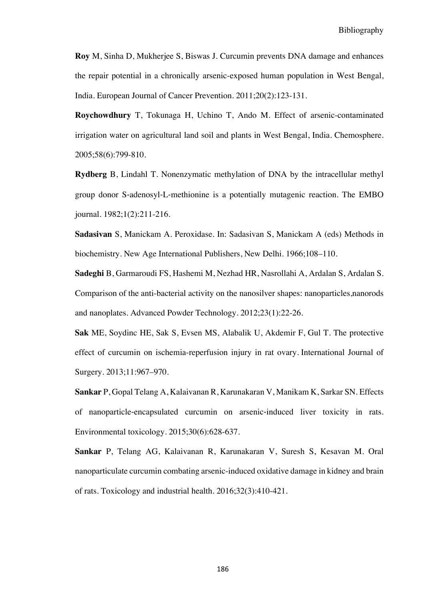**Roy** M, Sinha D, Mukherjee S, Biswas J. Curcumin prevents DNA damage and enhances the repair potential in a chronically arsenic-exposed human population in West Bengal, India. European Journal of Cancer Prevention. 2011;20(2):123-131.

**Roychowdhury** T, Tokunaga H, Uchino T, Ando M. Effect of arsenic-contaminated irrigation water on agricultural land soil and plants in West Bengal, India. Chemosphere. 2005;58(6):799-810.

**Rydberg** B, Lindahl T. Nonenzymatic methylation of DNA by the intracellular methyl group donor S-adenosyl-L-methionine is a potentially mutagenic reaction. The EMBO journal. 1982;1(2):211-216.

**Sadasivan** S, Manickam A. Peroxidase. In: Sadasivan S, Manickam A (eds) Methods in biochemistry. New Age International Publishers, New Delhi. 1966;108–110.

**Sadeghi** B, Garmaroudi FS, Hashemi M, Nezhad HR, Nasrollahi A, Ardalan S, Ardalan S. Comparison of the anti-bacterial activity on the nanosilver shapes: nanoparticles,nanorods and nanoplates. Advanced Powder Technology. 2012;23(1):22-26.

**Sak** ME, Soydinc HE, Sak S, Evsen MS, Alabalik U, Akdemir F, Gul T. The protective effect of curcumin on ischemia-reperfusion injury in rat ovary. International Journal of Surgery. 2013;11:967–970.

**Sankar** P, Gopal Telang A, Kalaivanan R, Karunakaran V, Manikam K, Sarkar SN. Effects of nanoparticle-encapsulated curcumin on arsenic-induced liver toxicity in rats. Environmental toxicology. 2015;30(6):628-637.

**Sankar** P, Telang AG, Kalaivanan R, Karunakaran V, Suresh S, Kesavan M. Oral nanoparticulate curcumin combating arsenic-induced oxidative damage in kidney and brain of rats. Toxicology and industrial health. 2016;32(3):410-421.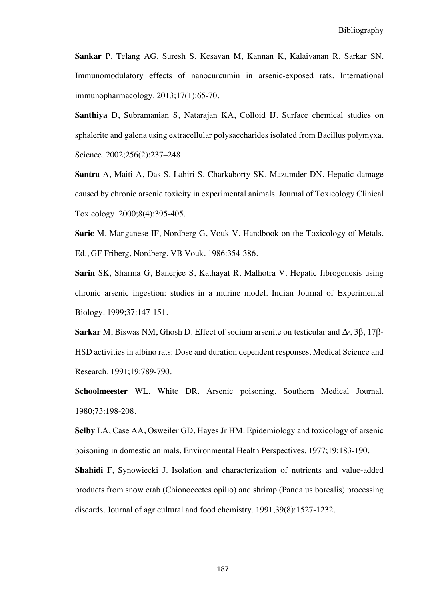**Sankar** P, Telang AG, Suresh S, Kesavan M, Kannan K, Kalaivanan R, Sarkar SN. Immunomodulatory effects of nanocurcumin in arsenic-exposed rats. International immunopharmacology. 2013;17(1):65-70.

**Santhiya** D, Subramanian S, Natarajan KA, Colloid IJ. Surface chemical studies on sphalerite and galena using extracellular polysaccharides isolated from Bacillus polymyxa. Science. 2002;256(2):237–248.

**Santra** A, Maiti A, Das S, Lahiri S, Charkaborty SK, Mazumder DN. Hepatic damage caused by chronic arsenic toxicity in experimental animals. Journal of Toxicology Clinical Toxicology. 2000;8(4):395-405.

**Saric** M, Manganese IF, Nordberg G, Vouk V. Handbook on the Toxicology of Metals. Ed., GF Friberg, Nordberg, VB Vouk. 1986:354-386.

**Sarin** SK, Sharma G, Banerjee S, Kathayat R, Malhotra V. Hepatic fibrogenesis using chronic arsenic ingestion: studies in a murine model. Indian Journal of Experimental Biology. 1999;37:147-151.

**Sarkar** M, Biswas NM, Ghosh D. Effect of sodium arsenite on testicular and Δ<sup>,</sup>, 3β, 17β-HSD activities in albino rats: Dose and duration dependent responses. Medical Science and Research. 1991;19:789-790.

**Schoolmeester** WL. White DR. Arsenic poisoning. Southern Medical Journal. 1980;73:198-208.

**Selby** LA, Case AA, Osweiler GD, Hayes Jr HM. Epidemiology and toxicology of arsenic poisoning in domestic animals. Environmental Health Perspectives. 1977;19:183-190.

**Shahidi** F, Synowiecki J. Isolation and characterization of nutrients and value-added products from snow crab (Chionoecetes opilio) and shrimp (Pandalus borealis) processing discards. Journal of agricultural and food chemistry. 1991;39(8):1527-1232.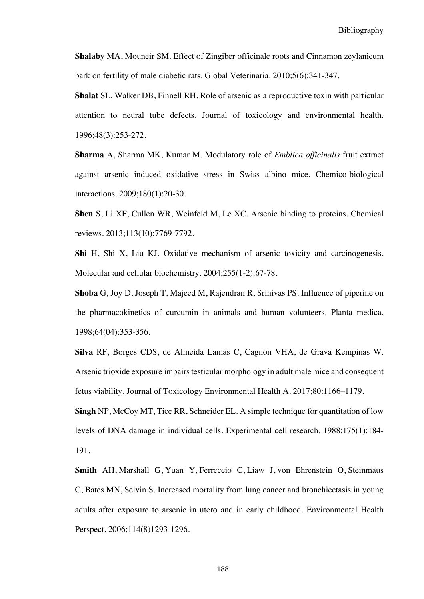**Shalaby** MA, Mouneir SM. Effect of Zingiber officinale roots and Cinnamon zeylanicum bark on fertility of male diabetic rats. Global Veterinaria. 2010;5(6):341-347.

**Shalat** SL, Walker DB, Finnell RH. Role of arsenic as a reproductive toxin with particular attention to neural tube defects. Journal of toxicology and environmental health. 1996;48(3):253-272.

**Sharma** A, Sharma MK, Kumar M. Modulatory role of *Emblica officinalis* fruit extract against arsenic induced oxidative stress in Swiss albino mice. Chemico-biological interactions. 2009;180(1):20-30.

**Shen** S, Li XF, Cullen WR, Weinfeld M, Le XC. Arsenic binding to proteins. Chemical reviews. 2013;113(10):7769-7792.

**Shi** H, Shi X, Liu KJ. Oxidative mechanism of arsenic toxicity and carcinogenesis. Molecular and cellular biochemistry. 2004;255(1-2):67-78.

**Shoba** G, Joy D, Joseph T, Majeed M, Rajendran R, Srinivas PS. Influence of piperine on the pharmacokinetics of curcumin in animals and human volunteers. Planta medica. 1998;64(04):353-356.

**Silva** RF, Borges CDS, de Almeida Lamas C, Cagnon VHA, de Grava Kempinas W. Arsenic trioxide exposure impairs testicular morphology in adult male mice and consequent fetus viability. Journal of Toxicology Environmental Health A. 2017;80:1166–1179.

**Singh** NP, McCoy MT, Tice RR, Schneider EL. A simple technique for quantitation of low levels of DNA damage in individual cells. Experimental cell research. 1988;175(1):184- 191.

**Smith** AH, Marshall G, Yuan Y, Ferreccio C, Liaw J, von Ehrenstein O, Steinmaus C, Bates MN, Selvin S. Increased mortality from lung cancer and bronchiectasis in young adults after exposure to arsenic in utero and in early childhood. Environmental Health Perspect. 2006;114(8)1293-1296.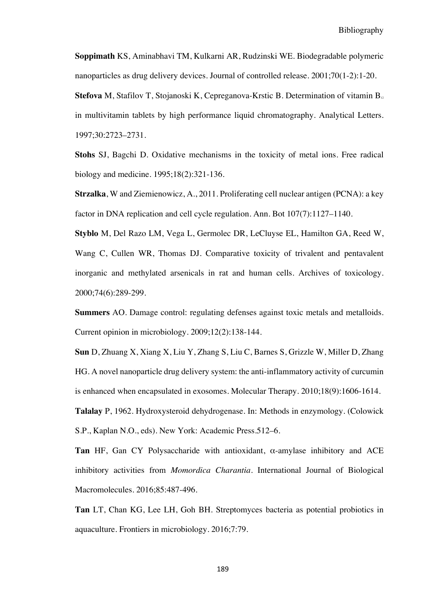**Soppimath** KS, Aminabhavi TM, Kulkarni AR, Rudzinski WE. Biodegradable polymeric nanoparticles as drug delivery devices. Journal of controlled release. 2001;70(1-2):1-20.

**Stefova** M, Stafilov T, Stojanoski K, Cepreganova-Krstic B. Determination of vitamin B<sub>12</sub> in multivitamin tablets by high performance liquid chromatography. Analytical Letters. 1997;30:2723–2731.

**Stohs** SJ, Bagchi D. Oxidative mechanisms in the toxicity of metal ions. Free radical biology and medicine. 1995;18(2):321-136.

**Strzalka**, W and Ziemienowicz, A., 2011. Proliferating cell nuclear antigen (PCNA): a key factor in DNA replication and cell cycle regulation. Ann. Bot 107(7):1127–1140.

**Styblo** M, Del Razo LM, Vega L, Germolec DR, LeCluyse EL, Hamilton GA, Reed W, Wang C, Cullen WR, Thomas DJ. Comparative toxicity of trivalent and pentavalent inorganic and methylated arsenicals in rat and human cells. Archives of toxicology. 2000;74(6):289-299.

**Summers** AO. Damage control: regulating defenses against toxic metals and metalloids. Current opinion in microbiology. 2009;12(2):138-144.

**Sun** D, Zhuang X, Xiang X, Liu Y, Zhang S, Liu C, Barnes S, Grizzle W, Miller D, Zhang HG. A novel nanoparticle drug delivery system: the anti-inflammatory activity of curcumin is enhanced when encapsulated in exosomes. Molecular Therapy. 2010;18(9):1606-1614.

**Talalay** P, 1962. Hydroxysteroid dehydrogenase. In: Methods in enzymology. (Colowick S.P., Kaplan N.O., eds). New York: Academic Press.512–6.

**Tan** HF, Gan CY Polysaccharide with antioxidant, α-amylase inhibitory and ACE inhibitory activities from *Momordica Charantia*. International Journal of Biological Macromolecules. 2016;85:487-496.

**Tan** LT, Chan KG, Lee LH, Goh BH. Streptomyces bacteria as potential probiotics in aquaculture. Frontiers in microbiology. 2016;7:79.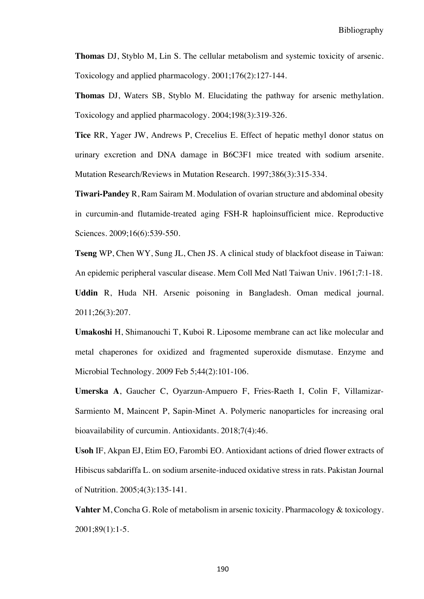**Thomas** DJ, Styblo M, Lin S. The cellular metabolism and systemic toxicity of arsenic. Toxicology and applied pharmacology. 2001;176(2):127-144.

**Thomas** DJ, Waters SB, Styblo M. Elucidating the pathway for arsenic methylation. Toxicology and applied pharmacology. 2004;198(3):319-326.

**Tice** RR, Yager JW, Andrews P, Crecelius E. Effect of hepatic methyl donor status on urinary excretion and DNA damage in B6C3F1 mice treated with sodium arsenite. Mutation Research/Reviews in Mutation Research. 1997;386(3):315-334.

**Tiwari-Pandey** R, Ram Sairam M. Modulation of ovarian structure and abdominal obesity in curcumin-and flutamide-treated aging FSH-R haploinsufficient mice. Reproductive Sciences. 2009;16(6):539-550.

**Tseng** WP, Chen WY, Sung JL, Chen JS. A clinical study of blackfoot disease in Taiwan: An epidemic peripheral vascular disease. Mem Coll Med Natl Taiwan Univ. 1961;7:1-18.

**Uddin** R, Huda NH. Arsenic poisoning in Bangladesh. Oman medical journal. 2011;26(3):207.

**Umakoshi** H, Shimanouchi T, Kuboi R. Liposome membrane can act like molecular and metal chaperones for oxidized and fragmented superoxide dismutase. Enzyme and Microbial Technology. 2009 Feb 5;44(2):101-106.

**Umerska A**, Gaucher C, Oyarzun-Ampuero F, Fries-Raeth I, Colin F, Villamizar-Sarmiento M, Maincent P, Sapin-Minet A. Polymeric nanoparticles for increasing oral bioavailability of curcumin. Antioxidants. 2018;7(4):46.

**Usoh** IF, Akpan EJ, Etim EO, Farombi EO. Antioxidant actions of dried flower extracts of Hibiscus sabdariffa L. on sodium arsenite-induced oxidative stress in rats. Pakistan Journal of Nutrition. 2005;4(3):135-141.

**Vahter** M, Concha G. Role of metabolism in arsenic toxicity. Pharmacology & toxicology. 2001;89(1):1-5.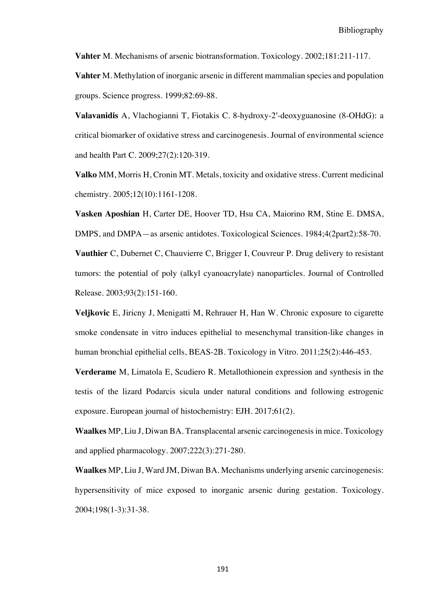**Vahter** M. Mechanisms of arsenic biotransformation. Toxicology. 2002;181:211-117.

**Vahter** M. Methylation of inorganic arsenic in different mammalian species and population groups. Science progress. 1999;82:69-88.

**Valavanidis** A, Vlachogianni T, Fiotakis C. 8-hydroxy-2′-deoxyguanosine (8-OHdG): a critical biomarker of oxidative stress and carcinogenesis. Journal of environmental science and health Part C. 2009;27(2):120-319.

**Valko** MM, Morris H, Cronin MT. Metals, toxicity and oxidative stress. Current medicinal chemistry. 2005;12(10):1161-1208.

**Vasken Aposhian** H, Carter DE, Hoover TD, Hsu CA, Maiorino RM, Stine E. DMSA, DMPS, and DMPA—as arsenic antidotes. Toxicological Sciences. 1984;4(2part2):58-70. **Vauthier** C, Dubernet C, Chauvierre C, Brigger I, Couvreur P. Drug delivery to resistant tumors: the potential of poly (alkyl cyanoacrylate) nanoparticles. Journal of Controlled Release. 2003;93(2):151-160.

**Veljkovic** E, Jiricny J, Menigatti M, Rehrauer H, Han W. Chronic exposure to cigarette smoke condensate in vitro induces epithelial to mesenchymal transition-like changes in human bronchial epithelial cells, BEAS-2B. Toxicology in Vitro. 2011;25(2):446-453.

**Verderame** M, Limatola E, Scudiero R. Metallothionein expression and synthesis in the testis of the lizard Podarcis sicula under natural conditions and following estrogenic exposure. European journal of histochemistry: EJH. 2017;61(2).

**Waalkes** MP, Liu J, Diwan BA. Transplacental arsenic carcinogenesis in mice. Toxicology and applied pharmacology. 2007;222(3):271-280.

**Waalkes** MP, Liu J, Ward JM, Diwan BA. Mechanisms underlying arsenic carcinogenesis: hypersensitivity of mice exposed to inorganic arsenic during gestation. Toxicology. 2004;198(1-3):31-38.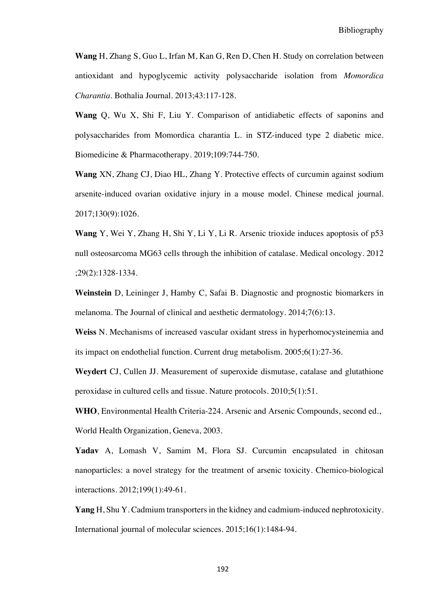**Wang** H, Zhang S, Guo L, Irfan M, Kan G, Ren D, Chen H. Study on correlation between antioxidant and hypoglycemic activity polysaccharide isolation from *Momordica Charantia*. Bothalia Journal. 2013;43:117-128.

**Wang** Q, Wu X, Shi F, Liu Y. Comparison of antidiabetic effects of saponins and polysaccharides from Momordica charantia L. in STZ-induced type 2 diabetic mice. Biomedicine & Pharmacotherapy. 2019;109:744-750.

**Wang** XN, Zhang CJ, Diao HL, Zhang Y. Protective effects of curcumin against sodium arsenite-induced ovarian oxidative injury in a mouse model. Chinese medical journal. 2017;130(9):1026.

**Wang** Y, Wei Y, Zhang H, Shi Y, Li Y, Li R. Arsenic trioxide induces apoptosis of p53 null osteosarcoma MG63 cells through the inhibition of catalase. Medical oncology. 2012 ;29(2):1328-1334.

**Weinstein** D, Leininger J, Hamby C, Safai B. Diagnostic and prognostic biomarkers in melanoma. The Journal of clinical and aesthetic dermatology. 2014;7(6):13.

**Weiss** N. Mechanisms of increased vascular oxidant stress in hyperhomocysteinemia and its impact on endothelial function. Current drug metabolism. 2005;6(1):27-36.

**Weydert** CJ, Cullen JJ. Measurement of superoxide dismutase, catalase and glutathione peroxidase in cultured cells and tissue. Nature protocols. 2010;5(1):51.

**WHO**, Environmental Health Criteria-224. Arsenic and Arsenic Compounds, second ed., World Health Organization, Geneva, 2003.

**Yadav** A, Lomash V, Samim M, Flora SJ. Curcumin encapsulated in chitosan nanoparticles: a novel strategy for the treatment of arsenic toxicity. Chemico-biological interactions. 2012;199(1):49-61.

**Yang** H, Shu Y. Cadmium transporters in the kidney and cadmium-induced nephrotoxicity. International journal of molecular sciences. 2015;16(1):1484-94.